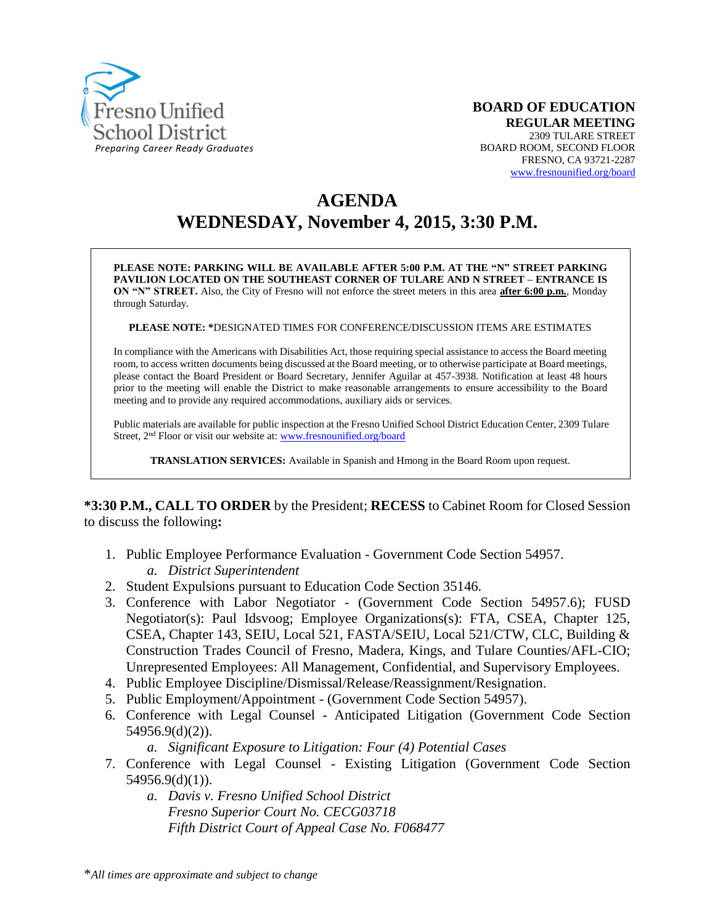

# **AGENDA WEDNESDAY, November 4, 2015, 3:30 P.M.**

**PLEASE NOTE: PARKING WILL BE AVAILABLE AFTER 5:00 P.M. AT THE "N" STREET PARKING PAVILION LOCATED ON THE SOUTHEAST CORNER OF TULARE AND N STREET – ENTRANCE IS ON "N" STREET.** Also, the City of Fresno will not enforce the street meters in this area **after 6:00 p.m.**, Monday through Saturday.

**PLEASE NOTE: \***DESIGNATED TIMES FOR CONFERENCE/DISCUSSION ITEMS ARE ESTIMATES

In compliance with the Americans with Disabilities Act, those requiring special assistance to access the Board meeting room, to access written documents being discussed at the Board meeting, or to otherwise participate at Board meetings, please contact the Board President or Board Secretary, Jennifer Aguilar at 457-3938. Notification at least 48 hours prior to the meeting will enable the District to make reasonable arrangements to ensure accessibility to the Board meeting and to provide any required accommodations, auxiliary aids or services.

Public materials are available for public inspection at the Fresno Unified School District Education Center, 2309 Tulare Street, 2<sup>nd</sup> Floor or visit our website at: [www.fresnounified.org/board](http://www.fresnounified.org/board)

**TRANSLATION SERVICES:** Available in Spanish and Hmong in the Board Room upon request.

**\*3:30 P.M., CALL TO ORDER** by the President; **RECESS** to Cabinet Room for Closed Session to discuss the following**:**

- 1. Public Employee Performance Evaluation Government Code Section 54957. *a. District Superintendent*
- 2. Student Expulsions pursuant to Education Code Section 35146.
- 3. Conference with Labor Negotiator (Government Code Section 54957.6); FUSD Negotiator(s): Paul Idsvoog; Employee Organizations(s): FTA, CSEA, Chapter 125, CSEA, Chapter 143, SEIU, Local 521, FASTA/SEIU, Local 521/CTW, CLC, Building & Construction Trades Council of Fresno, Madera, Kings, and Tulare Counties/AFL-CIO; Unrepresented Employees: All Management, Confidential, and Supervisory Employees.
- 4. Public Employee Discipline/Dismissal/Release/Reassignment/Resignation.
- 5. Public Employment/Appointment (Government Code Section 54957).
- 6. Conference with Legal Counsel Anticipated Litigation (Government Code Section 54956.9(d)(2)).

*a. Significant Exposure to Litigation: Four (4) Potential Cases*

- 7. Conference with Legal Counsel Existing Litigation (Government Code Section 54956.9(d)(1)).
	- *a. Davis v. Fresno Unified School District Fresno Superior Court No. CECG03718 Fifth District Court of Appeal Case No. F068477*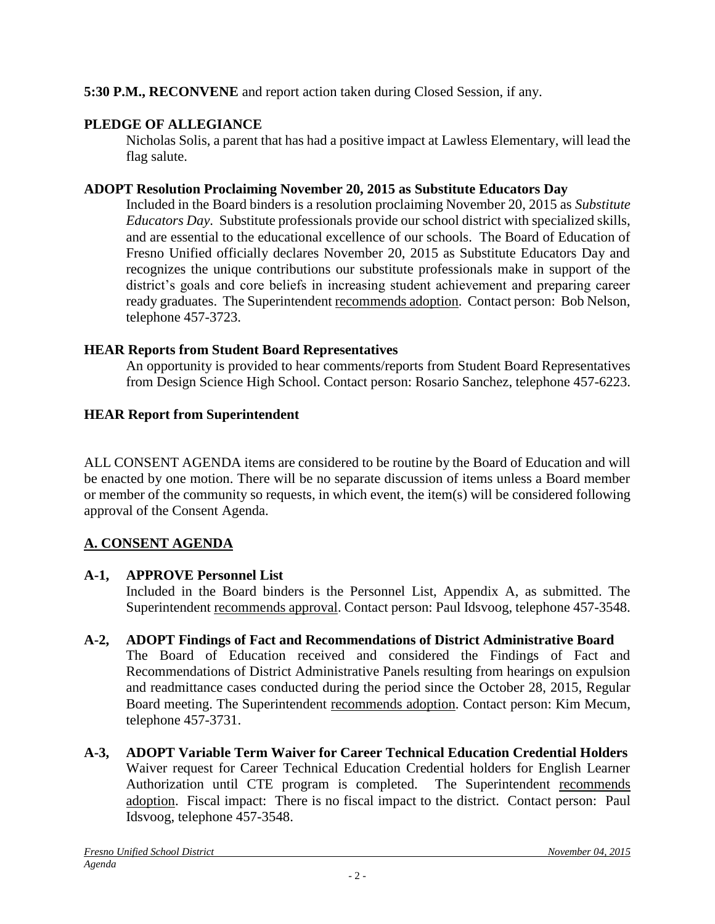### **5:30 P.M., RECONVENE** and report action taken during Closed Session, if any.

# **PLEDGE OF ALLEGIANCE**

Nicholas Solis, a parent that has had a positive impact at Lawless Elementary, will lead the flag salute.

### **ADOPT Resolution Proclaiming November 20, 2015 as Substitute Educators Day**

Included in the Board binders is a resolution proclaiming November 20, 2015 as *Substitute Educators Day*. Substitute professionals provide our school district with specialized skills, and are essential to the educational excellence of our schools. The Board of Education of Fresno Unified officially declares November 20, 2015 as Substitute Educators Day and recognizes the unique contributions our substitute professionals make in support of the district's goals and core beliefs in increasing student achievement and preparing career ready graduates. The Superintendent recommends adoption. Contact person: Bob Nelson, telephone 457-3723.

### **HEAR Reports from Student Board Representatives**

An opportunity is provided to hear comments/reports from Student Board Representatives from Design Science High School. Contact person: Rosario Sanchez, telephone 457-6223.

### **HEAR Report from Superintendent**

ALL CONSENT AGENDA items are considered to be routine by the Board of Education and will be enacted by one motion. There will be no separate discussion of items unless a Board member or member of the community so requests, in which event, the item(s) will be considered following approval of the Consent Agenda.

# **A. CONSENT AGENDA**

# **A-1, APPROVE Personnel List**

Included in the Board binders is the Personnel List, Appendix A, as submitted. The Superintendent recommends approval. Contact person: Paul Idsvoog, telephone 457-3548.

# **A-2, ADOPT Findings of Fact and Recommendations of District Administrative Board**

The Board of Education received and considered the Findings of Fact and Recommendations of District Administrative Panels resulting from hearings on expulsion and readmittance cases conducted during the period since the October 28, 2015, Regular Board meeting. The Superintendent recommends adoption. Contact person: Kim Mecum, telephone 457-3731.

**A-3, ADOPT Variable Term Waiver for Career Technical Education Credential Holders** Waiver request for Career Technical Education Credential holders for English Learner Authorization until CTE program is completed. The Superintendent recommends adoption. Fiscal impact: There is no fiscal impact to the district. Contact person: Paul Idsvoog, telephone 457-3548.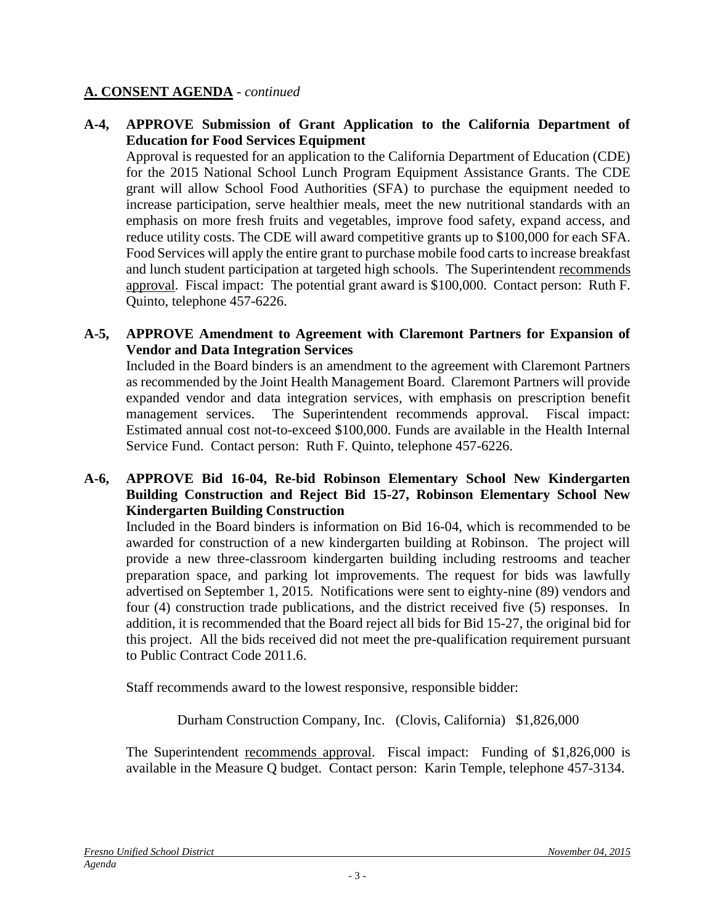#### **A. CONSENT AGENDA** - *continued*

#### **A-4, APPROVE Submission of Grant Application to the California Department of Education for Food Services Equipment**

Approval is requested for an application to the California Department of Education (CDE) for the 2015 National School Lunch Program Equipment Assistance Grants. The CDE grant will allow School Food Authorities (SFA) to purchase the equipment needed to increase participation, serve healthier meals, meet the new nutritional standards with an emphasis on more fresh fruits and vegetables, improve food safety, expand access, and reduce utility costs. The CDE will award competitive grants up to \$100,000 for each SFA. Food Services will apply the entire grant to purchase mobile food carts to increase breakfast and lunch student participation at targeted high schools. The Superintendent recommends approval. Fiscal impact: The potential grant award is \$100,000. Contact person: Ruth F. Quinto, telephone 457-6226.

#### **A-5, APPROVE Amendment to Agreement with Claremont Partners for Expansion of Vendor and Data Integration Services**

Included in the Board binders is an amendment to the agreement with Claremont Partners as recommended by the Joint Health Management Board. Claremont Partners will provide expanded vendor and data integration services, with emphasis on prescription benefit management services. The Superintendent recommends approval. Fiscal impact: Estimated annual cost not-to-exceed \$100,000. Funds are available in the Health Internal Service Fund. Contact person: Ruth F. Quinto, telephone 457-6226.

#### **A-6, APPROVE Bid 16-04, Re-bid Robinson Elementary School New Kindergarten Building Construction and Reject Bid 15-27, Robinson Elementary School New Kindergarten Building Construction**

Included in the Board binders is information on Bid 16-04, which is recommended to be awarded for construction of a new kindergarten building at Robinson. The project will provide a new three-classroom kindergarten building including restrooms and teacher preparation space, and parking lot improvements. The request for bids was lawfully advertised on September 1, 2015. Notifications were sent to eighty-nine (89) vendors and four (4) construction trade publications, and the district received five (5) responses. In addition, it is recommended that the Board reject all bids for Bid 15-27, the original bid for this project. All the bids received did not meet the pre-qualification requirement pursuant to Public Contract Code 2011.6.

Staff recommends award to the lowest responsive, responsible bidder:

Durham Construction Company, Inc. (Clovis, California) \$1,826,000

The Superintendent recommends approval. Fiscal impact: Funding of \$1,826,000 is available in the Measure Q budget. Contact person: Karin Temple, telephone 457-3134.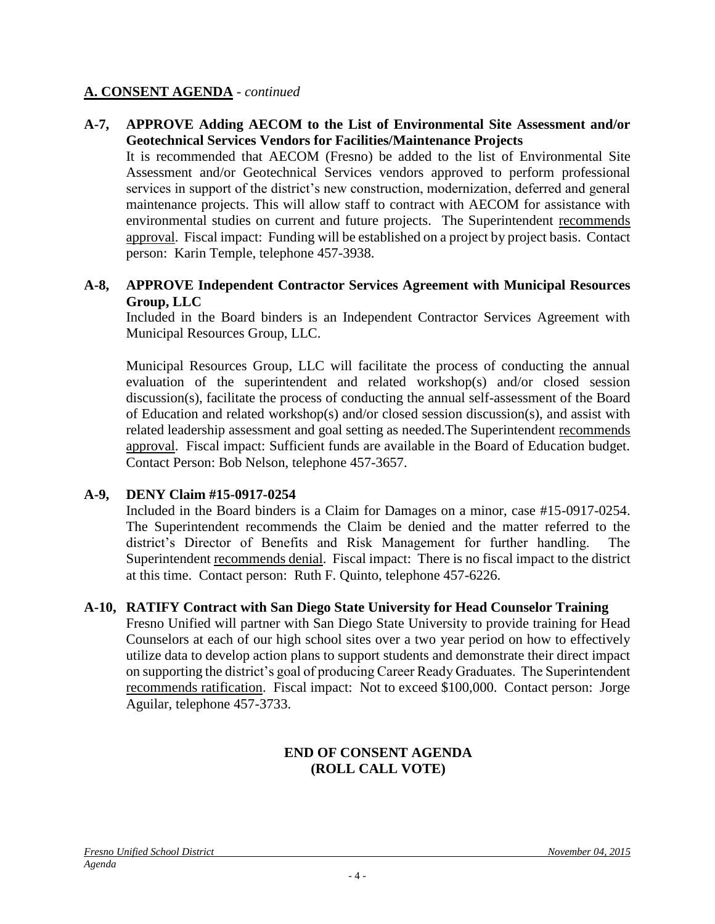#### **A. CONSENT AGENDA** - *continued*

#### **A-7, APPROVE Adding AECOM to the List of Environmental Site Assessment and/or Geotechnical Services Vendors for Facilities/Maintenance Projects**

It is recommended that AECOM (Fresno) be added to the list of Environmental Site Assessment and/or Geotechnical Services vendors approved to perform professional services in support of the district's new construction, modernization, deferred and general maintenance projects. This will allow staff to contract with AECOM for assistance with environmental studies on current and future projects. The Superintendent recommends approval. Fiscal impact: Funding will be established on a project by project basis. Contact person: Karin Temple, telephone 457-3938.

#### **A-8, APPROVE Independent Contractor Services Agreement with Municipal Resources Group, LLC**

Included in the Board binders is an Independent Contractor Services Agreement with Municipal Resources Group, LLC.

Municipal Resources Group, LLC will facilitate the process of conducting the annual evaluation of the superintendent and related workshop(s) and/or closed session discussion(s), facilitate the process of conducting the annual self-assessment of the Board of Education and related workshop(s) and/or closed session discussion(s), and assist with related leadership assessment and goal setting as needed.The Superintendent recommends approval. Fiscal impact: Sufficient funds are available in the Board of Education budget. Contact Person: Bob Nelson, telephone 457-3657.

### **A-9, DENY Claim #15-0917-0254**

Included in the Board binders is a Claim for Damages on a minor, case #15-0917-0254. The Superintendent recommends the Claim be denied and the matter referred to the district's Director of Benefits and Risk Management for further handling. The Superintendent recommends denial. Fiscal impact: There is no fiscal impact to the district at this time. Contact person: Ruth F. Quinto, telephone 457-6226.

#### **A-10, RATIFY Contract with San Diego State University for Head Counselor Training**

Fresno Unified will partner with San Diego State University to provide training for Head Counselors at each of our high school sites over a two year period on how to effectively utilize data to develop action plans to support students and demonstrate their direct impact on supporting the district's goal of producing Career Ready Graduates. The Superintendent recommends ratification. Fiscal impact: Not to exceed \$100,000. Contact person: Jorge Aguilar, telephone 457-3733.

### **END OF CONSENT AGENDA (ROLL CALL VOTE)**